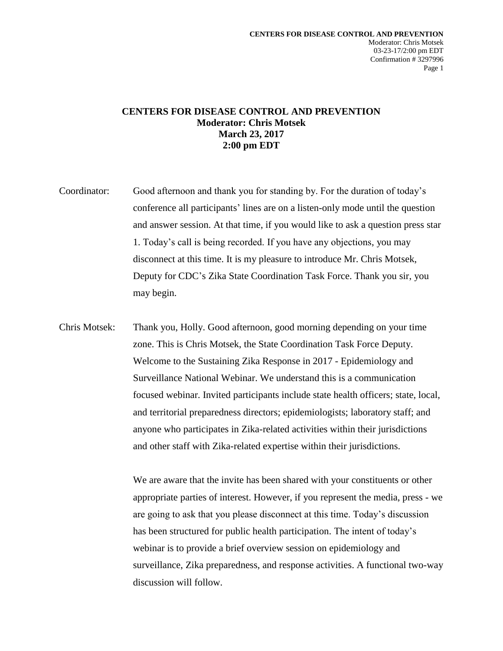## **CENTERS FOR DISEASE CONTROL AND PREVENTION Moderator: Chris Motsek March 23, 2017 2:00 pm EDT**

- Coordinator: Good afternoon and thank you for standing by. For the duration of today's conference all participants' lines are on a listen-only mode until the question and answer session. At that time, if you would like to ask a question press star 1. Today's call is being recorded. If you have any objections, you may disconnect at this time. It is my pleasure to introduce Mr. Chris Motsek, Deputy for CDC's Zika State Coordination Task Force. Thank you sir, you may begin.
- Chris Motsek: Thank you, Holly. Good afternoon, good morning depending on your time zone. This is Chris Motsek, the State Coordination Task Force Deputy. Welcome to the Sustaining Zika Response in 2017 - Epidemiology and Surveillance National Webinar. We understand this is a communication focused webinar. Invited participants include state health officers; state, local, and territorial preparedness directors; epidemiologists; laboratory staff; and anyone who participates in Zika-related activities within their jurisdictions and other staff with Zika-related expertise within their jurisdictions.

We are aware that the invite has been shared with your constituents or other appropriate parties of interest. However, if you represent the media, press - we are going to ask that you please disconnect at this time. Today's discussion has been structured for public health participation. The intent of today's webinar is to provide a brief overview session on epidemiology and surveillance, Zika preparedness, and response activities. A functional two-way discussion will follow.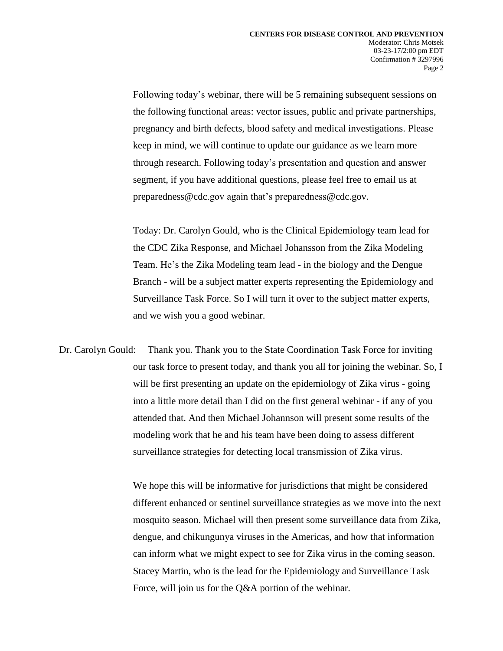Following today's webinar, there will be 5 remaining subsequent sessions on the following functional areas: vector issues, public and private partnerships, pregnancy and birth defects, blood safety and medical investigations. Please keep in mind, we will continue to update our guidance as we learn more through research. Following today's presentation and question and answer segment, if you have additional questions, please feel free to email us at preparedness@cdc.gov again that's preparedness@cdc.gov.

Today: Dr. Carolyn Gould, who is the Clinical Epidemiology team lead for the CDC Zika Response, and Michael Johansson from the Zika Modeling Team. He's the Zika Modeling team lead - in the biology and the Dengue Branch - will be a subject matter experts representing the Epidemiology and Surveillance Task Force. So I will turn it over to the subject matter experts, and we wish you a good webinar.

Dr. Carolyn Gould: Thank you. Thank you to the State Coordination Task Force for inviting our task force to present today, and thank you all for joining the webinar. So, I will be first presenting an update on the epidemiology of Zika virus - going into a little more detail than I did on the first general webinar - if any of you attended that. And then Michael Johannson will present some results of the modeling work that he and his team have been doing to assess different surveillance strategies for detecting local transmission of Zika virus.

> We hope this will be informative for jurisdictions that might be considered different enhanced or sentinel surveillance strategies as we move into the next mosquito season. Michael will then present some surveillance data from Zika, dengue, and chikungunya viruses in the Americas, and how that information can inform what we might expect to see for Zika virus in the coming season. Stacey Martin, who is the lead for the Epidemiology and Surveillance Task Force, will join us for the Q&A portion of the webinar.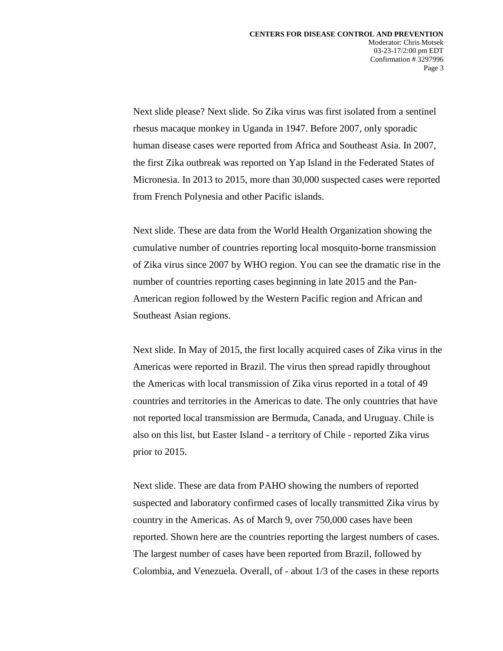Next slide please? Next slide. So Zika virus was first isolated from a sentinel rhesus macaque monkey in Uganda in 1947. Before 2007, only sporadic human disease cases were reported from Africa and Southeast Asia. In 2007, the first Zika outbreak was reported on Yap Island in the Federated States of Micronesia. In 2013 to 2015, more than 30,000 suspected cases were reported from French Polynesia and other Pacific islands.

Next slide. These are data from the World Health Organization showing the cumulative number of countries reporting local mosquito-borne transmission of Zika virus since 2007 by WHO region. You can see the dramatic rise in the number of countries reporting cases beginning in late 2015 and the Pan-American region followed by the Western Pacific region and African and Southeast Asian regions.

Next slide. In May of 2015, the first locally acquired cases of Zika virus in the Americas were reported in Brazil. The virus then spread rapidly throughout the Americas with local transmission of Zika virus reported in a total of 49 countries and territories in the Americas to date. The only countries that have not reported local transmission are Bermuda, Canada, and Uruguay. Chile is also on this list, but Easter Island - a territory of Chile - reported Zika virus prior to 2015.

Next slide. These are data from PAHO showing the numbers of reported suspected and laboratory confirmed cases of locally transmitted Zika virus by country in the Americas. As of March 9, over 750,000 cases have been reported. Shown here are the countries reporting the largest numbers of cases. The largest number of cases have been reported from Brazil, followed by Colombia, and Venezuela. Overall, of - about 1/3 of the cases in these reports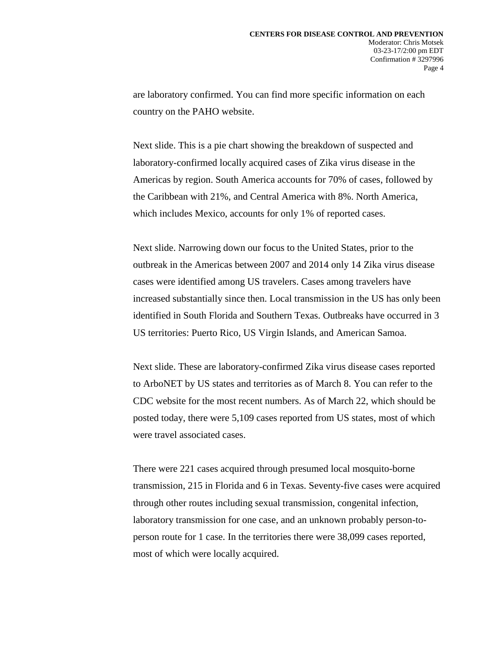are laboratory confirmed. You can find more specific information on each country on the PAHO website.

Next slide. This is a pie chart showing the breakdown of suspected and laboratory-confirmed locally acquired cases of Zika virus disease in the Americas by region. South America accounts for 70% of cases, followed by the Caribbean with 21%, and Central America with 8%. North America, which includes Mexico, accounts for only 1% of reported cases.

Next slide. Narrowing down our focus to the United States, prior to the outbreak in the Americas between 2007 and 2014 only 14 Zika virus disease cases were identified among US travelers. Cases among travelers have increased substantially since then. Local transmission in the US has only been identified in South Florida and Southern Texas. Outbreaks have occurred in 3 US territories: Puerto Rico, US Virgin Islands, and American Samoa.

Next slide. These are laboratory-confirmed Zika virus disease cases reported to ArboNET by US states and territories as of March 8. You can refer to the CDC website for the most recent numbers. As of March 22, which should be posted today, there were 5,109 cases reported from US states, most of which were travel associated cases.

There were 221 cases acquired through presumed local mosquito-borne transmission, 215 in Florida and 6 in Texas. Seventy-five cases were acquired through other routes including sexual transmission, congenital infection, laboratory transmission for one case, and an unknown probably person-toperson route for 1 case. In the territories there were 38,099 cases reported, most of which were locally acquired.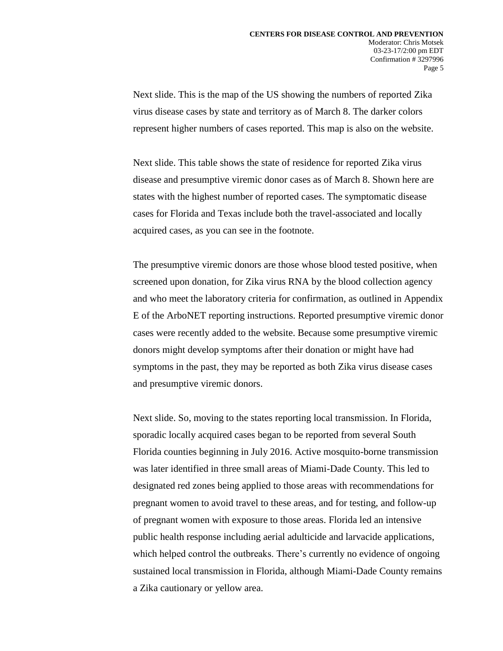Next slide. This is the map of the US showing the numbers of reported Zika virus disease cases by state and territory as of March 8. The darker colors represent higher numbers of cases reported. This map is also on the website.

Next slide. This table shows the state of residence for reported Zika virus disease and presumptive viremic donor cases as of March 8. Shown here are states with the highest number of reported cases. The symptomatic disease cases for Florida and Texas include both the travel-associated and locally acquired cases, as you can see in the footnote.

The presumptive viremic donors are those whose blood tested positive, when screened upon donation, for Zika virus RNA by the blood collection agency and who meet the laboratory criteria for confirmation, as outlined in Appendix E of the ArboNET reporting instructions. Reported presumptive viremic donor cases were recently added to the website. Because some presumptive viremic donors might develop symptoms after their donation or might have had symptoms in the past, they may be reported as both Zika virus disease cases and presumptive viremic donors.

Next slide. So, moving to the states reporting local transmission. In Florida, sporadic locally acquired cases began to be reported from several South Florida counties beginning in July 2016. Active mosquito-borne transmission was later identified in three small areas of Miami-Dade County. This led to designated red zones being applied to those areas with recommendations for pregnant women to avoid travel to these areas, and for testing, and follow-up of pregnant women with exposure to those areas. Florida led an intensive public health response including aerial adulticide and larvacide applications, which helped control the outbreaks. There's currently no evidence of ongoing sustained local transmission in Florida, although Miami-Dade County remains a Zika cautionary or yellow area.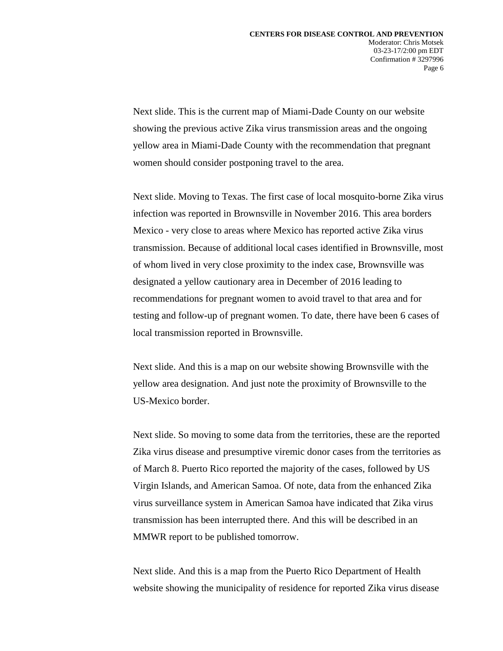Next slide. This is the current map of Miami-Dade County on our website showing the previous active Zika virus transmission areas and the ongoing yellow area in Miami-Dade County with the recommendation that pregnant women should consider postponing travel to the area.

Next slide. Moving to Texas. The first case of local mosquito-borne Zika virus infection was reported in Brownsville in November 2016. This area borders Mexico - very close to areas where Mexico has reported active Zika virus transmission. Because of additional local cases identified in Brownsville, most of whom lived in very close proximity to the index case, Brownsville was designated a yellow cautionary area in December of 2016 leading to recommendations for pregnant women to avoid travel to that area and for testing and follow-up of pregnant women. To date, there have been 6 cases of local transmission reported in Brownsville.

Next slide. And this is a map on our website showing Brownsville with the yellow area designation. And just note the proximity of Brownsville to the US-Mexico border.

Next slide. So moving to some data from the territories, these are the reported Zika virus disease and presumptive viremic donor cases from the territories as of March 8. Puerto Rico reported the majority of the cases, followed by US Virgin Islands, and American Samoa. Of note, data from the enhanced Zika virus surveillance system in American Samoa have indicated that Zika virus transmission has been interrupted there. And this will be described in an MMWR report to be published tomorrow.

Next slide. And this is a map from the Puerto Rico Department of Health website showing the municipality of residence for reported Zika virus disease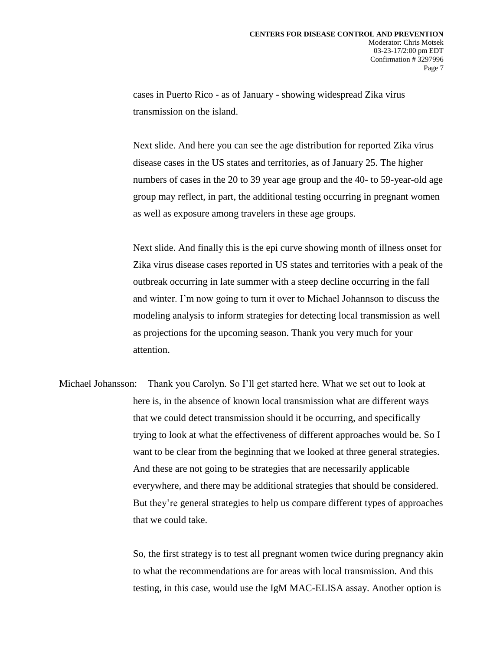cases in Puerto Rico - as of January - showing widespread Zika virus transmission on the island.

Next slide. And here you can see the age distribution for reported Zika virus disease cases in the US states and territories, as of January 25. The higher numbers of cases in the 20 to 39 year age group and the 40- to 59-year-old age group may reflect, in part, the additional testing occurring in pregnant women as well as exposure among travelers in these age groups.

Next slide. And finally this is the epi curve showing month of illness onset for Zika virus disease cases reported in US states and territories with a peak of the outbreak occurring in late summer with a steep decline occurring in the fall and winter. I'm now going to turn it over to Michael Johannson to discuss the modeling analysis to inform strategies for detecting local transmission as well as projections for the upcoming season. Thank you very much for your attention.

Michael Johansson: Thank you Carolyn. So I'll get started here. What we set out to look at here is, in the absence of known local transmission what are different ways that we could detect transmission should it be occurring, and specifically trying to look at what the effectiveness of different approaches would be. So I want to be clear from the beginning that we looked at three general strategies. And these are not going to be strategies that are necessarily applicable everywhere, and there may be additional strategies that should be considered. But they're general strategies to help us compare different types of approaches that we could take.

> So, the first strategy is to test all pregnant women twice during pregnancy akin to what the recommendations are for areas with local transmission. And this testing, in this case, would use the IgM MAC-ELISA assay. Another option is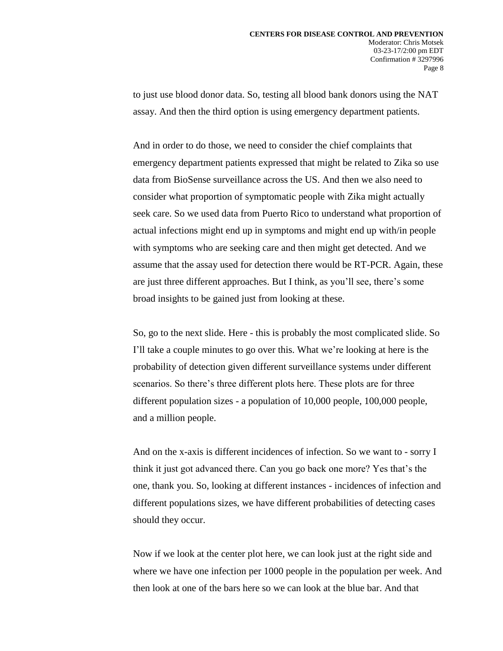to just use blood donor data. So, testing all blood bank donors using the NAT assay. And then the third option is using emergency department patients.

And in order to do those, we need to consider the chief complaints that emergency department patients expressed that might be related to Zika so use data from BioSense surveillance across the US. And then we also need to consider what proportion of symptomatic people with Zika might actually seek care. So we used data from Puerto Rico to understand what proportion of actual infections might end up in symptoms and might end up with/in people with symptoms who are seeking care and then might get detected. And we assume that the assay used for detection there would be RT-PCR. Again, these are just three different approaches. But I think, as you'll see, there's some broad insights to be gained just from looking at these.

So, go to the next slide. Here - this is probably the most complicated slide. So I'll take a couple minutes to go over this. What we're looking at here is the probability of detection given different surveillance systems under different scenarios. So there's three different plots here. These plots are for three different population sizes - a population of 10,000 people, 100,000 people, and a million people.

And on the x-axis is different incidences of infection. So we want to - sorry I think it just got advanced there. Can you go back one more? Yes that's the one, thank you. So, looking at different instances - incidences of infection and different populations sizes, we have different probabilities of detecting cases should they occur.

Now if we look at the center plot here, we can look just at the right side and where we have one infection per 1000 people in the population per week. And then look at one of the bars here so we can look at the blue bar. And that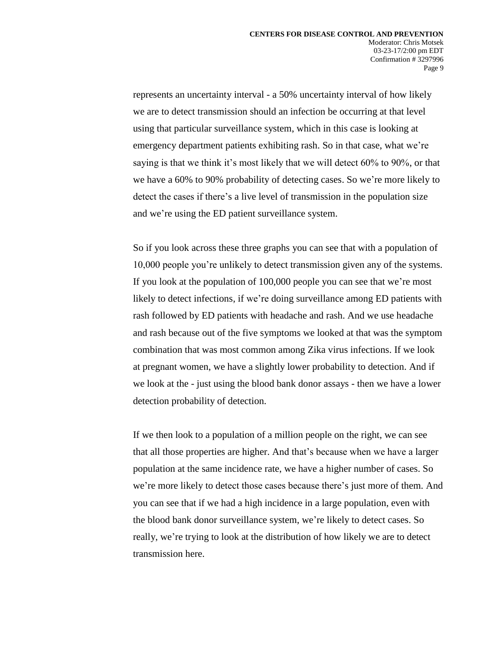represents an uncertainty interval - a 50% uncertainty interval of how likely we are to detect transmission should an infection be occurring at that level using that particular surveillance system, which in this case is looking at emergency department patients exhibiting rash. So in that case, what we're saying is that we think it's most likely that we will detect 60% to 90%, or that we have a 60% to 90% probability of detecting cases. So we're more likely to detect the cases if there's a live level of transmission in the population size and we're using the ED patient surveillance system.

So if you look across these three graphs you can see that with a population of 10,000 people you're unlikely to detect transmission given any of the systems. If you look at the population of 100,000 people you can see that we're most likely to detect infections, if we're doing surveillance among ED patients with rash followed by ED patients with headache and rash. And we use headache and rash because out of the five symptoms we looked at that was the symptom combination that was most common among Zika virus infections. If we look at pregnant women, we have a slightly lower probability to detection. And if we look at the - just using the blood bank donor assays - then we have a lower detection probability of detection.

If we then look to a population of a million people on the right, we can see that all those properties are higher. And that's because when we have a larger population at the same incidence rate, we have a higher number of cases. So we're more likely to detect those cases because there's just more of them. And you can see that if we had a high incidence in a large population, even with the blood bank donor surveillance system, we're likely to detect cases. So really, we're trying to look at the distribution of how likely we are to detect transmission here.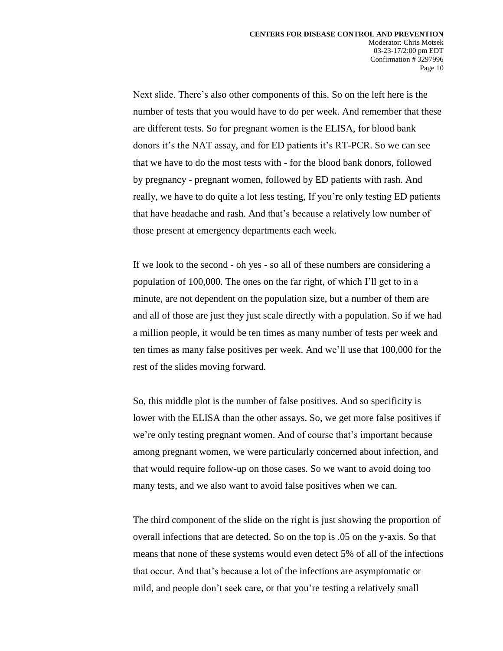Next slide. There's also other components of this. So on the left here is the number of tests that you would have to do per week. And remember that these are different tests. So for pregnant women is the ELISA, for blood bank donors it's the NAT assay, and for ED patients it's RT-PCR. So we can see that we have to do the most tests with - for the blood bank donors, followed by pregnancy - pregnant women, followed by ED patients with rash. And really, we have to do quite a lot less testing, If you're only testing ED patients that have headache and rash. And that's because a relatively low number of those present at emergency departments each week.

If we look to the second - oh yes - so all of these numbers are considering a population of 100,000. The ones on the far right, of which I'll get to in a minute, are not dependent on the population size, but a number of them are and all of those are just they just scale directly with a population. So if we had a million people, it would be ten times as many number of tests per week and ten times as many false positives per week. And we'll use that 100,000 for the rest of the slides moving forward.

So, this middle plot is the number of false positives. And so specificity is lower with the ELISA than the other assays. So, we get more false positives if we're only testing pregnant women. And of course that's important because among pregnant women, we were particularly concerned about infection, and that would require follow-up on those cases. So we want to avoid doing too many tests, and we also want to avoid false positives when we can.

The third component of the slide on the right is just showing the proportion of overall infections that are detected. So on the top is .05 on the y-axis. So that means that none of these systems would even detect 5% of all of the infections that occur. And that's because a lot of the infections are asymptomatic or mild, and people don't seek care, or that you're testing a relatively small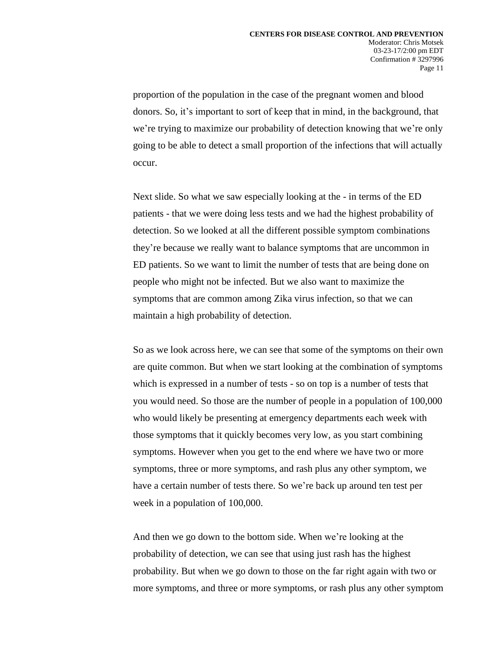proportion of the population in the case of the pregnant women and blood donors. So, it's important to sort of keep that in mind, in the background, that we're trying to maximize our probability of detection knowing that we're only going to be able to detect a small proportion of the infections that will actually occur.

Next slide. So what we saw especially looking at the - in terms of the ED patients - that we were doing less tests and we had the highest probability of detection. So we looked at all the different possible symptom combinations they're because we really want to balance symptoms that are uncommon in ED patients. So we want to limit the number of tests that are being done on people who might not be infected. But we also want to maximize the symptoms that are common among Zika virus infection, so that we can maintain a high probability of detection.

So as we look across here, we can see that some of the symptoms on their own are quite common. But when we start looking at the combination of symptoms which is expressed in a number of tests - so on top is a number of tests that you would need. So those are the number of people in a population of 100,000 who would likely be presenting at emergency departments each week with those symptoms that it quickly becomes very low, as you start combining symptoms. However when you get to the end where we have two or more symptoms, three or more symptoms, and rash plus any other symptom, we have a certain number of tests there. So we're back up around ten test per week in a population of 100,000.

And then we go down to the bottom side. When we're looking at the probability of detection, we can see that using just rash has the highest probability. But when we go down to those on the far right again with two or more symptoms, and three or more symptoms, or rash plus any other symptom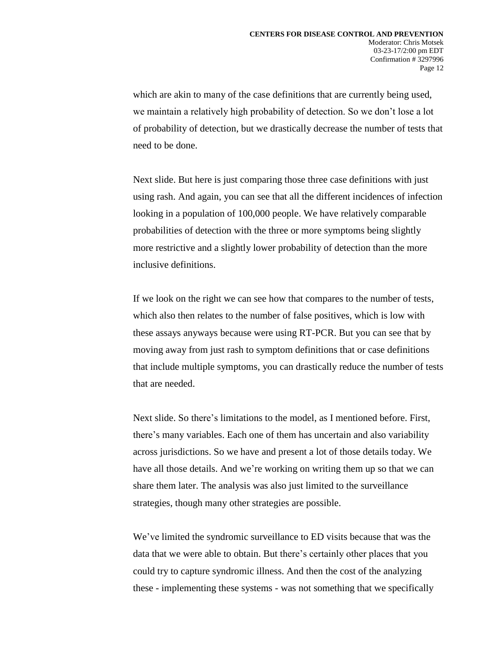which are akin to many of the case definitions that are currently being used, we maintain a relatively high probability of detection. So we don't lose a lot of probability of detection, but we drastically decrease the number of tests that need to be done.

Next slide. But here is just comparing those three case definitions with just using rash. And again, you can see that all the different incidences of infection looking in a population of 100,000 people. We have relatively comparable probabilities of detection with the three or more symptoms being slightly more restrictive and a slightly lower probability of detection than the more inclusive definitions.

If we look on the right we can see how that compares to the number of tests, which also then relates to the number of false positives, which is low with these assays anyways because were using RT-PCR. But you can see that by moving away from just rash to symptom definitions that or case definitions that include multiple symptoms, you can drastically reduce the number of tests that are needed.

Next slide. So there's limitations to the model, as I mentioned before. First, there's many variables. Each one of them has uncertain and also variability across jurisdictions. So we have and present a lot of those details today. We have all those details. And we're working on writing them up so that we can share them later. The analysis was also just limited to the surveillance strategies, though many other strategies are possible.

We've limited the syndromic surveillance to ED visits because that was the data that we were able to obtain. But there's certainly other places that you could try to capture syndromic illness. And then the cost of the analyzing these - implementing these systems - was not something that we specifically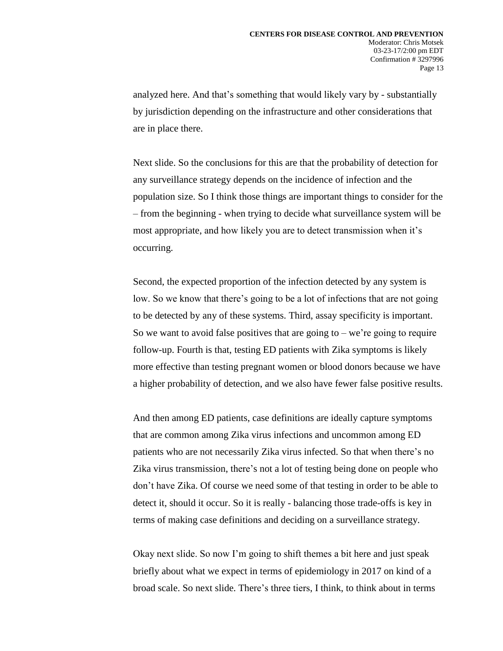analyzed here. And that's something that would likely vary by - substantially by jurisdiction depending on the infrastructure and other considerations that are in place there.

Next slide. So the conclusions for this are that the probability of detection for any surveillance strategy depends on the incidence of infection and the population size. So I think those things are important things to consider for the – from the beginning - when trying to decide what surveillance system will be most appropriate, and how likely you are to detect transmission when it's occurring.

Second, the expected proportion of the infection detected by any system is low. So we know that there's going to be a lot of infections that are not going to be detected by any of these systems. Third, assay specificity is important. So we want to avoid false positives that are going to – we're going to require follow-up. Fourth is that, testing ED patients with Zika symptoms is likely more effective than testing pregnant women or blood donors because we have a higher probability of detection, and we also have fewer false positive results.

And then among ED patients, case definitions are ideally capture symptoms that are common among Zika virus infections and uncommon among ED patients who are not necessarily Zika virus infected. So that when there's no Zika virus transmission, there's not a lot of testing being done on people who don't have Zika. Of course we need some of that testing in order to be able to detect it, should it occur. So it is really - balancing those trade-offs is key in terms of making case definitions and deciding on a surveillance strategy.

Okay next slide. So now I'm going to shift themes a bit here and just speak briefly about what we expect in terms of epidemiology in 2017 on kind of a broad scale. So next slide. There's three tiers, I think, to think about in terms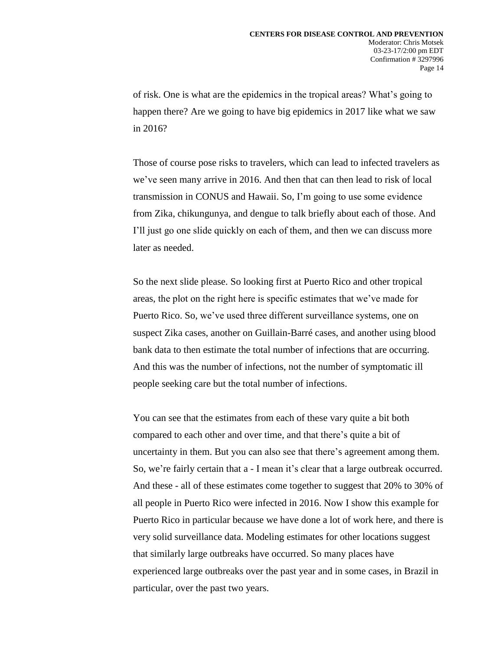of risk. One is what are the epidemics in the tropical areas? What's going to happen there? Are we going to have big epidemics in 2017 like what we saw in 2016?

Those of course pose risks to travelers, which can lead to infected travelers as we've seen many arrive in 2016. And then that can then lead to risk of local transmission in CONUS and Hawaii. So, I'm going to use some evidence from Zika, chikungunya, and dengue to talk briefly about each of those. And I'll just go one slide quickly on each of them, and then we can discuss more later as needed.

So the next slide please. So looking first at Puerto Rico and other tropical areas, the plot on the right here is specific estimates that we've made for Puerto Rico. So, we've used three different surveillance systems, one on suspect Zika cases, another on Guillain-Barré cases, and another using blood bank data to then estimate the total number of infections that are occurring. And this was the number of infections, not the number of symptomatic ill people seeking care but the total number of infections.

You can see that the estimates from each of these vary quite a bit both compared to each other and over time, and that there's quite a bit of uncertainty in them. But you can also see that there's agreement among them. So, we're fairly certain that a - I mean it's clear that a large outbreak occurred. And these - all of these estimates come together to suggest that 20% to 30% of all people in Puerto Rico were infected in 2016. Now I show this example for Puerto Rico in particular because we have done a lot of work here, and there is very solid surveillance data. Modeling estimates for other locations suggest that similarly large outbreaks have occurred. So many places have experienced large outbreaks over the past year and in some cases, in Brazil in particular, over the past two years.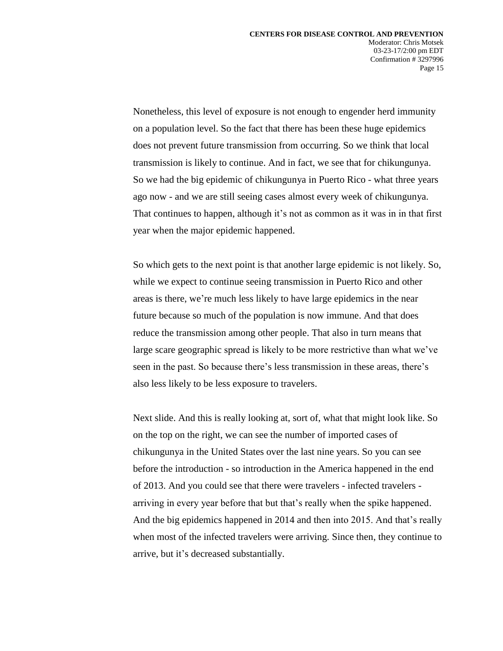Nonetheless, this level of exposure is not enough to engender herd immunity on a population level. So the fact that there has been these huge epidemics does not prevent future transmission from occurring. So we think that local transmission is likely to continue. And in fact, we see that for chikungunya. So we had the big epidemic of chikungunya in Puerto Rico - what three years ago now - and we are still seeing cases almost every week of chikungunya. That continues to happen, although it's not as common as it was in in that first year when the major epidemic happened.

So which gets to the next point is that another large epidemic is not likely. So, while we expect to continue seeing transmission in Puerto Rico and other areas is there, we're much less likely to have large epidemics in the near future because so much of the population is now immune. And that does reduce the transmission among other people. That also in turn means that large scare geographic spread is likely to be more restrictive than what we've seen in the past. So because there's less transmission in these areas, there's also less likely to be less exposure to travelers.

Next slide. And this is really looking at, sort of, what that might look like. So on the top on the right, we can see the number of imported cases of chikungunya in the United States over the last nine years. So you can see before the introduction - so introduction in the America happened in the end of 2013. And you could see that there were travelers - infected travelers arriving in every year before that but that's really when the spike happened. And the big epidemics happened in 2014 and then into 2015. And that's really when most of the infected travelers were arriving. Since then, they continue to arrive, but it's decreased substantially.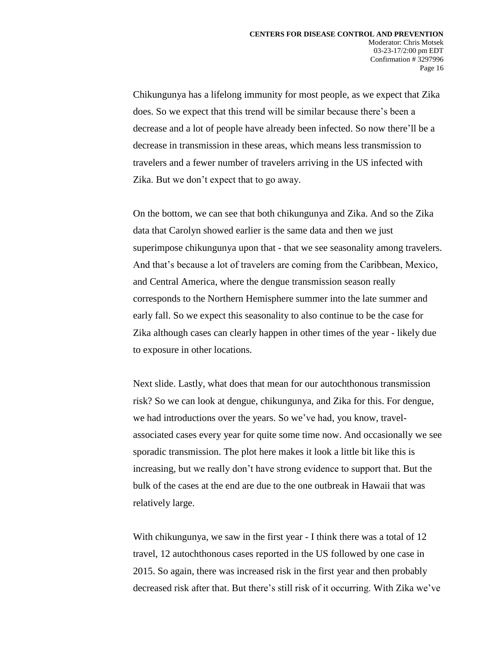Chikungunya has a lifelong immunity for most people, as we expect that Zika does. So we expect that this trend will be similar because there's been a decrease and a lot of people have already been infected. So now there'll be a decrease in transmission in these areas, which means less transmission to travelers and a fewer number of travelers arriving in the US infected with Zika. But we don't expect that to go away.

On the bottom, we can see that both chikungunya and Zika. And so the Zika data that Carolyn showed earlier is the same data and then we just superimpose chikungunya upon that - that we see seasonality among travelers. And that's because a lot of travelers are coming from the Caribbean, Mexico, and Central America, where the dengue transmission season really corresponds to the Northern Hemisphere summer into the late summer and early fall. So we expect this seasonality to also continue to be the case for Zika although cases can clearly happen in other times of the year - likely due to exposure in other locations.

Next slide. Lastly, what does that mean for our autochthonous transmission risk? So we can look at dengue, chikungunya, and Zika for this. For dengue, we had introductions over the years. So we've had, you know, travelassociated cases every year for quite some time now. And occasionally we see sporadic transmission. The plot here makes it look a little bit like this is increasing, but we really don't have strong evidence to support that. But the bulk of the cases at the end are due to the one outbreak in Hawaii that was relatively large.

With chikungunya, we saw in the first year - I think there was a total of 12 travel, 12 autochthonous cases reported in the US followed by one case in 2015. So again, there was increased risk in the first year and then probably decreased risk after that. But there's still risk of it occurring. With Zika we've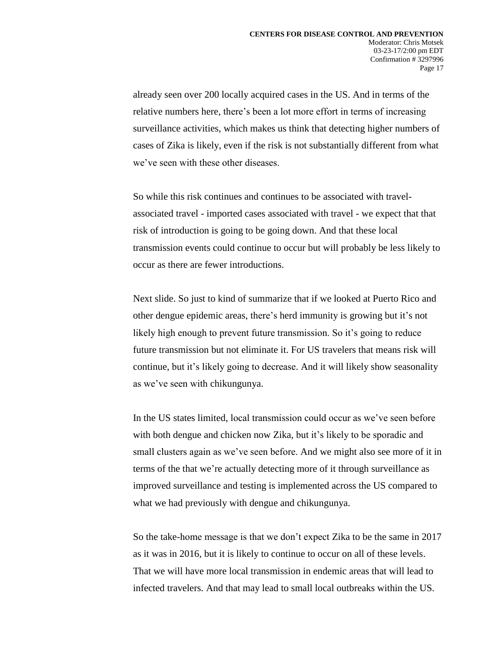already seen over 200 locally acquired cases in the US. And in terms of the relative numbers here, there's been a lot more effort in terms of increasing surveillance activities, which makes us think that detecting higher numbers of cases of Zika is likely, even if the risk is not substantially different from what we've seen with these other diseases.

So while this risk continues and continues to be associated with travelassociated travel - imported cases associated with travel - we expect that that risk of introduction is going to be going down. And that these local transmission events could continue to occur but will probably be less likely to occur as there are fewer introductions.

Next slide. So just to kind of summarize that if we looked at Puerto Rico and other dengue epidemic areas, there's herd immunity is growing but it's not likely high enough to prevent future transmission. So it's going to reduce future transmission but not eliminate it. For US travelers that means risk will continue, but it's likely going to decrease. And it will likely show seasonality as we've seen with chikungunya.

In the US states limited, local transmission could occur as we've seen before with both dengue and chicken now Zika, but it's likely to be sporadic and small clusters again as we've seen before. And we might also see more of it in terms of the that we're actually detecting more of it through surveillance as improved surveillance and testing is implemented across the US compared to what we had previously with dengue and chikungunya.

So the take-home message is that we don't expect Zika to be the same in 2017 as it was in 2016, but it is likely to continue to occur on all of these levels. That we will have more local transmission in endemic areas that will lead to infected travelers. And that may lead to small local outbreaks within the US.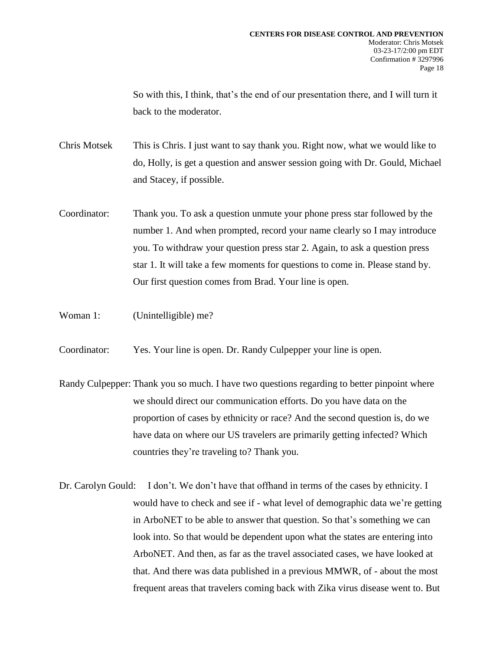So with this, I think, that's the end of our presentation there, and I will turn it back to the moderator.

Chris Motsek This is Chris. I just want to say thank you. Right now, what we would like to do, Holly, is get a question and answer session going with Dr. Gould, Michael and Stacey, if possible.

- Coordinator: Thank you. To ask a question unmute your phone press star followed by the number 1. And when prompted, record your name clearly so I may introduce you. To withdraw your question press star 2. Again, to ask a question press star 1. It will take a few moments for questions to come in. Please stand by. Our first question comes from Brad. Your line is open.
- Woman 1: (Unintelligible) me?
- Coordinator: Yes. Your line is open. Dr. Randy Culpepper your line is open.
- Randy Culpepper: Thank you so much. I have two questions regarding to better pinpoint where we should direct our communication efforts. Do you have data on the proportion of cases by ethnicity or race? And the second question is, do we have data on where our US travelers are primarily getting infected? Which countries they're traveling to? Thank you.
- Dr. Carolyn Gould: I don't. We don't have that offhand in terms of the cases by ethnicity. I would have to check and see if - what level of demographic data we're getting in ArboNET to be able to answer that question. So that's something we can look into. So that would be dependent upon what the states are entering into ArboNET. And then, as far as the travel associated cases, we have looked at that. And there was data published in a previous MMWR, of - about the most frequent areas that travelers coming back with Zika virus disease went to. But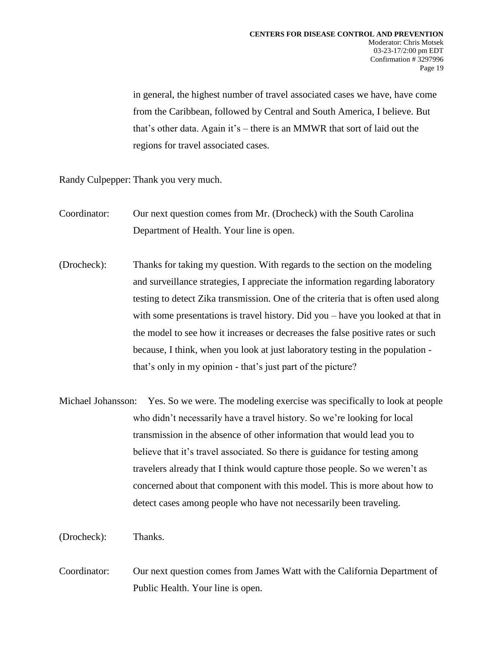in general, the highest number of travel associated cases we have, have come from the Caribbean, followed by Central and South America, I believe. But that's other data. Again it's – there is an MMWR that sort of laid out the regions for travel associated cases.

Randy Culpepper: Thank you very much.

- Coordinator: Our next question comes from Mr. (Drocheck) with the South Carolina Department of Health. Your line is open.
- (Drocheck): Thanks for taking my question. With regards to the section on the modeling and surveillance strategies, I appreciate the information regarding laboratory testing to detect Zika transmission. One of the criteria that is often used along with some presentations is travel history. Did you – have you looked at that in the model to see how it increases or decreases the false positive rates or such because, I think, when you look at just laboratory testing in the population that's only in my opinion - that's just part of the picture?
- Michael Johansson: Yes. So we were. The modeling exercise was specifically to look at people who didn't necessarily have a travel history. So we're looking for local transmission in the absence of other information that would lead you to believe that it's travel associated. So there is guidance for testing among travelers already that I think would capture those people. So we weren't as concerned about that component with this model. This is more about how to detect cases among people who have not necessarily been traveling.

(Drocheck): Thanks.

Coordinator: Our next question comes from James Watt with the California Department of Public Health. Your line is open.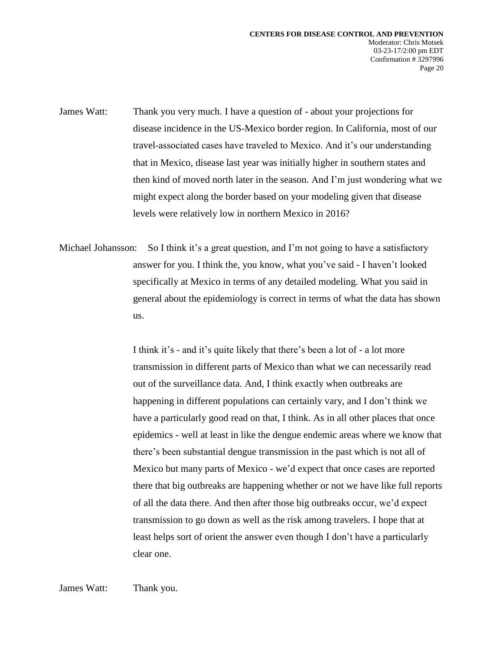James Watt: Thank you very much. I have a question of - about your projections for disease incidence in the US-Mexico border region. In California, most of our travel-associated cases have traveled to Mexico. And it's our understanding that in Mexico, disease last year was initially higher in southern states and then kind of moved north later in the season. And I'm just wondering what we might expect along the border based on your modeling given that disease levels were relatively low in northern Mexico in 2016?

Michael Johansson: So I think it's a great question, and I'm not going to have a satisfactory answer for you. I think the, you know, what you've said - I haven't looked specifically at Mexico in terms of any detailed modeling. What you said in general about the epidemiology is correct in terms of what the data has shown us.

> I think it's - and it's quite likely that there's been a lot of - a lot more transmission in different parts of Mexico than what we can necessarily read out of the surveillance data. And, I think exactly when outbreaks are happening in different populations can certainly vary, and I don't think we have a particularly good read on that, I think. As in all other places that once epidemics - well at least in like the dengue endemic areas where we know that there's been substantial dengue transmission in the past which is not all of Mexico but many parts of Mexico - we'd expect that once cases are reported there that big outbreaks are happening whether or not we have like full reports of all the data there. And then after those big outbreaks occur, we'd expect transmission to go down as well as the risk among travelers. I hope that at least helps sort of orient the answer even though I don't have a particularly clear one.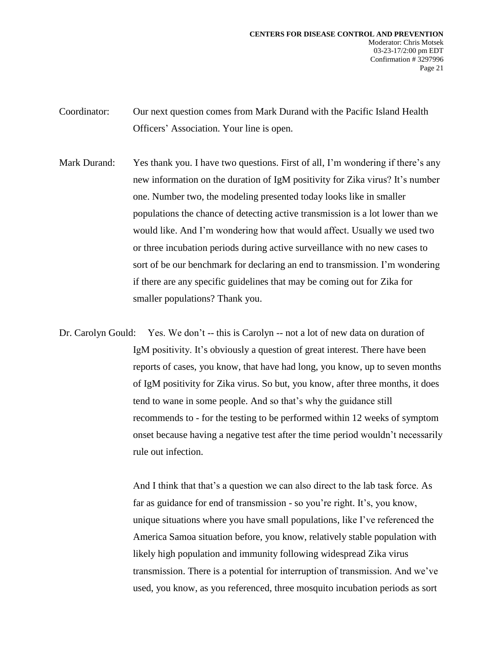Coordinator: Our next question comes from Mark Durand with the Pacific Island Health Officers' Association. Your line is open.

Mark Durand: Yes thank you. I have two questions. First of all, I'm wondering if there's any new information on the duration of IgM positivity for Zika virus? It's number one. Number two, the modeling presented today looks like in smaller populations the chance of detecting active transmission is a lot lower than we would like. And I'm wondering how that would affect. Usually we used two or three incubation periods during active surveillance with no new cases to sort of be our benchmark for declaring an end to transmission. I'm wondering if there are any specific guidelines that may be coming out for Zika for smaller populations? Thank you.

Dr. Carolyn Gould: Yes. We don't -- this is Carolyn -- not a lot of new data on duration of IgM positivity. It's obviously a question of great interest. There have been reports of cases, you know, that have had long, you know, up to seven months of IgM positivity for Zika virus. So but, you know, after three months, it does tend to wane in some people. And so that's why the guidance still recommends to - for the testing to be performed within 12 weeks of symptom onset because having a negative test after the time period wouldn't necessarily rule out infection.

> And I think that that's a question we can also direct to the lab task force. As far as guidance for end of transmission - so you're right. It's, you know, unique situations where you have small populations, like I've referenced the America Samoa situation before, you know, relatively stable population with likely high population and immunity following widespread Zika virus transmission. There is a potential for interruption of transmission. And we've used, you know, as you referenced, three mosquito incubation periods as sort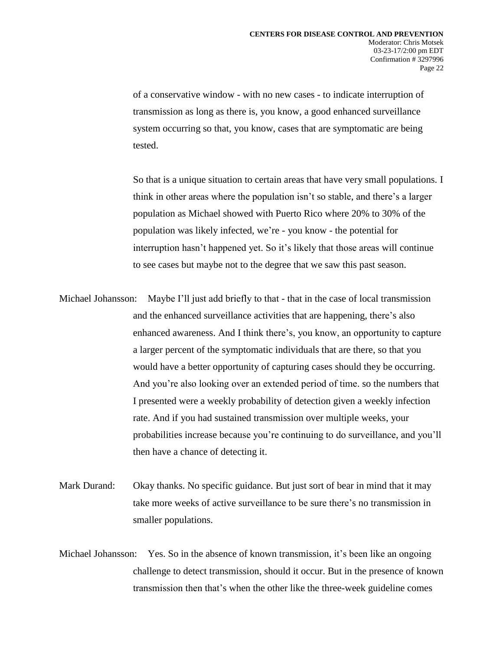of a conservative window - with no new cases - to indicate interruption of transmission as long as there is, you know, a good enhanced surveillance system occurring so that, you know, cases that are symptomatic are being tested.

So that is a unique situation to certain areas that have very small populations. I think in other areas where the population isn't so stable, and there's a larger population as Michael showed with Puerto Rico where 20% to 30% of the population was likely infected, we're - you know - the potential for interruption hasn't happened yet. So it's likely that those areas will continue to see cases but maybe not to the degree that we saw this past season.

Michael Johansson: Maybe I'll just add briefly to that - that in the case of local transmission and the enhanced surveillance activities that are happening, there's also enhanced awareness. And I think there's, you know, an opportunity to capture a larger percent of the symptomatic individuals that are there, so that you would have a better opportunity of capturing cases should they be occurring. And you're also looking over an extended period of time. so the numbers that I presented were a weekly probability of detection given a weekly infection rate. And if you had sustained transmission over multiple weeks, your probabilities increase because you're continuing to do surveillance, and you'll then have a chance of detecting it.

- Mark Durand: Okay thanks. No specific guidance. But just sort of bear in mind that it may take more weeks of active surveillance to be sure there's no transmission in smaller populations.
- Michael Johansson: Yes. So in the absence of known transmission, it's been like an ongoing challenge to detect transmission, should it occur. But in the presence of known transmission then that's when the other like the three-week guideline comes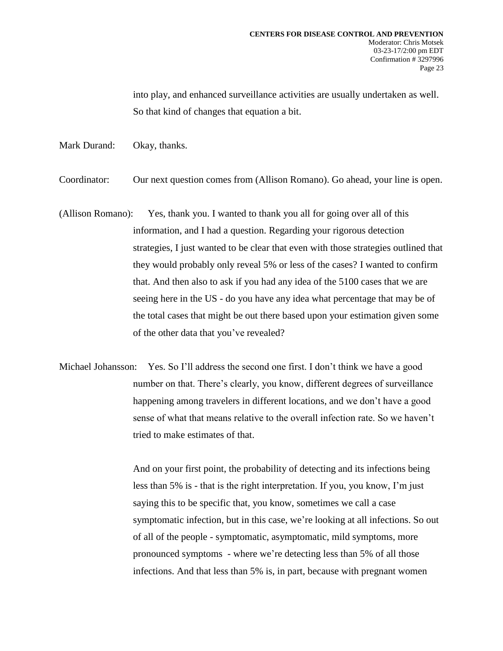into play, and enhanced surveillance activities are usually undertaken as well. So that kind of changes that equation a bit.

- Mark Durand: Okay, thanks.
- Coordinator: Our next question comes from (Allison Romano). Go ahead, your line is open.
- (Allison Romano): Yes, thank you. I wanted to thank you all for going over all of this information, and I had a question. Regarding your rigorous detection strategies, I just wanted to be clear that even with those strategies outlined that they would probably only reveal 5% or less of the cases? I wanted to confirm that. And then also to ask if you had any idea of the 5100 cases that we are seeing here in the US - do you have any idea what percentage that may be of the total cases that might be out there based upon your estimation given some of the other data that you've revealed?
- Michael Johansson: Yes. So I'll address the second one first. I don't think we have a good number on that. There's clearly, you know, different degrees of surveillance happening among travelers in different locations, and we don't have a good sense of what that means relative to the overall infection rate. So we haven't tried to make estimates of that.

And on your first point, the probability of detecting and its infections being less than 5% is - that is the right interpretation. If you, you know, I'm just saying this to be specific that, you know, sometimes we call a case symptomatic infection, but in this case, we're looking at all infections. So out of all of the people - symptomatic, asymptomatic, mild symptoms, more pronounced symptoms - where we're detecting less than 5% of all those infections. And that less than 5% is, in part, because with pregnant women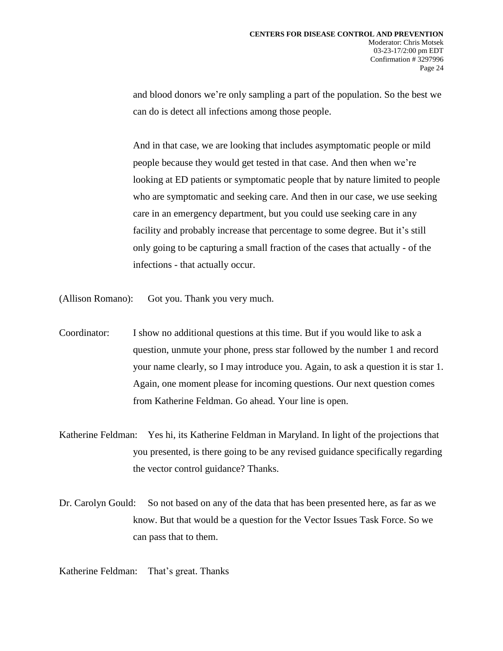and blood donors we're only sampling a part of the population. So the best we can do is detect all infections among those people.

And in that case, we are looking that includes asymptomatic people or mild people because they would get tested in that case. And then when we're looking at ED patients or symptomatic people that by nature limited to people who are symptomatic and seeking care. And then in our case, we use seeking care in an emergency department, but you could use seeking care in any facility and probably increase that percentage to some degree. But it's still only going to be capturing a small fraction of the cases that actually - of the infections - that actually occur.

(Allison Romano): Got you. Thank you very much.

Coordinator: I show no additional questions at this time. But if you would like to ask a question, unmute your phone, press star followed by the number 1 and record your name clearly, so I may introduce you. Again, to ask a question it is star 1. Again, one moment please for incoming questions. Our next question comes from Katherine Feldman. Go ahead. Your line is open.

- Katherine Feldman: Yes hi, its Katherine Feldman in Maryland. In light of the projections that you presented, is there going to be any revised guidance specifically regarding the vector control guidance? Thanks.
- Dr. Carolyn Gould: So not based on any of the data that has been presented here, as far as we know. But that would be a question for the Vector Issues Task Force. So we can pass that to them.

Katherine Feldman: That's great. Thanks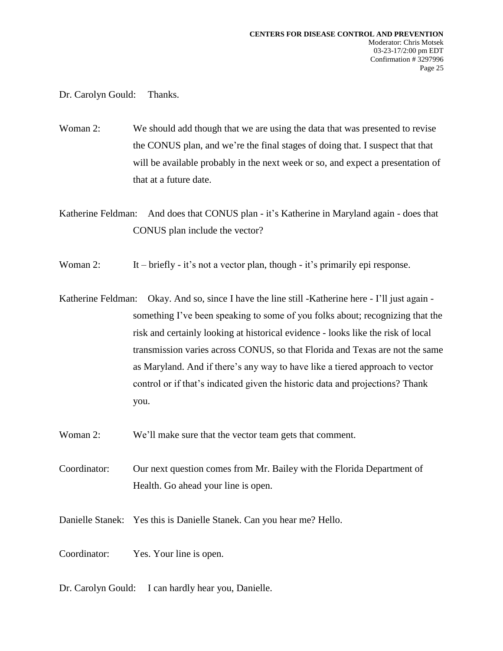Dr. Carolyn Gould: Thanks.

Woman 2: We should add though that we are using the data that was presented to revise the CONUS plan, and we're the final stages of doing that. I suspect that that will be available probably in the next week or so, and expect a presentation of that at a future date.

Katherine Feldman: And does that CONUS plan - it's Katherine in Maryland again - does that CONUS plan include the vector?

Woman 2: It – briefly - it's not a vector plan, though - it's primarily epi response.

Katherine Feldman: Okay. And so, since I have the line still -Katherine here - I'll just again something I've been speaking to some of you folks about; recognizing that the risk and certainly looking at historical evidence - looks like the risk of local transmission varies across CONUS, so that Florida and Texas are not the same as Maryland. And if there's any way to have like a tiered approach to vector control or if that's indicated given the historic data and projections? Thank you.

Woman 2: We'll make sure that the vector team gets that comment.

Coordinator: Our next question comes from Mr. Bailey with the Florida Department of Health. Go ahead your line is open.

Danielle Stanek: Yes this is Danielle Stanek. Can you hear me? Hello.

Coordinator: Yes. Your line is open.

Dr. Carolyn Gould: I can hardly hear you, Danielle.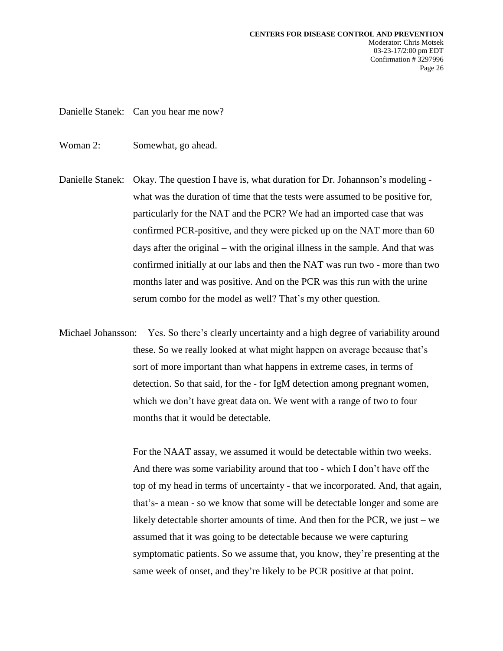Danielle Stanek: Can you hear me now?

- Woman 2: Somewhat, go ahead.
- Danielle Stanek: Okay. The question I have is, what duration for Dr. Johannson's modeling what was the duration of time that the tests were assumed to be positive for, particularly for the NAT and the PCR? We had an imported case that was confirmed PCR-positive, and they were picked up on the NAT more than 60 days after the original – with the original illness in the sample. And that was confirmed initially at our labs and then the NAT was run two - more than two months later and was positive. And on the PCR was this run with the urine serum combo for the model as well? That's my other question.
- Michael Johansson: Yes. So there's clearly uncertainty and a high degree of variability around these. So we really looked at what might happen on average because that's sort of more important than what happens in extreme cases, in terms of detection. So that said, for the - for IgM detection among pregnant women, which we don't have great data on. We went with a range of two to four months that it would be detectable.

For the NAAT assay, we assumed it would be detectable within two weeks. And there was some variability around that too - which I don't have off the top of my head in terms of uncertainty - that we incorporated. And, that again, that's- a mean - so we know that some will be detectable longer and some are likely detectable shorter amounts of time. And then for the PCR, we just – we assumed that it was going to be detectable because we were capturing symptomatic patients. So we assume that, you know, they're presenting at the same week of onset, and they're likely to be PCR positive at that point.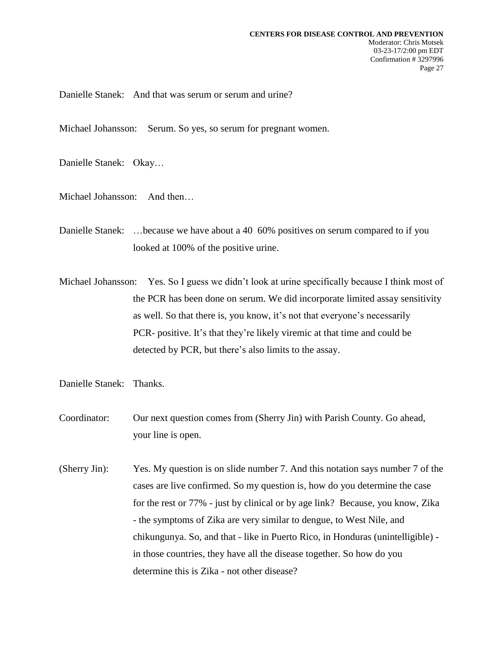Danielle Stanek: And that was serum or serum and urine?

Michael Johansson: Serum. So yes, so serum for pregnant women.

Danielle Stanek: Okay…

Michael Johansson: And then…

- Danielle Stanek: …because we have about a 40 60% positives on serum compared to if you looked at 100% of the positive urine.
- Michael Johansson: Yes. So I guess we didn't look at urine specifically because I think most of the PCR has been done on serum. We did incorporate limited assay sensitivity as well. So that there is, you know, it's not that everyone's necessarily PCR- positive. It's that they're likely viremic at that time and could be detected by PCR, but there's also limits to the assay.
- Danielle Stanek: Thanks.
- Coordinator: Our next question comes from (Sherry Jin) with Parish County. Go ahead, your line is open.
- (Sherry Jin): Yes. My question is on slide number 7. And this notation says number 7 of the cases are live confirmed. So my question is, how do you determine the case for the rest or 77% - just by clinical or by age link? Because, you know, Zika - the symptoms of Zika are very similar to dengue, to West Nile, and chikungunya. So, and that - like in Puerto Rico, in Honduras (unintelligible) in those countries, they have all the disease together. So how do you determine this is Zika - not other disease?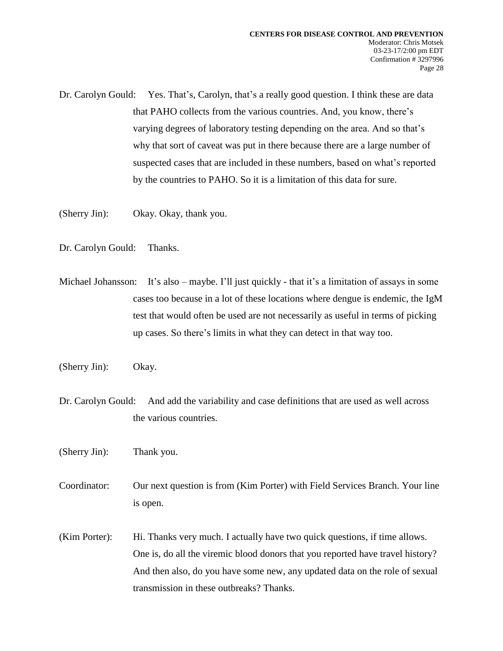Dr. Carolyn Gould: Yes. That's, Carolyn, that's a really good question. I think these are data that PAHO collects from the various countries. And, you know, there's varying degrees of laboratory testing depending on the area. And so that's why that sort of caveat was put in there because there are a large number of suspected cases that are included in these numbers, based on what's reported by the countries to PAHO. So it is a limitation of this data for sure.

- (Sherry Jin): Okay. Okay, thank you.
- Dr. Carolyn Gould: Thanks.
- Michael Johansson: It's also maybe. I'll just quickly that it's a limitation of assays in some cases too because in a lot of these locations where dengue is endemic, the IgM test that would often be used are not necessarily as useful in terms of picking up cases. So there's limits in what they can detect in that way too.
- (Sherry Jin): Okay.
- Dr. Carolyn Gould: And add the variability and case definitions that are used as well across the various countries.
- (Sherry Jin): Thank you.
- Coordinator: Our next question is from (Kim Porter) with Field Services Branch. Your line is open.
- (Kim Porter): Hi. Thanks very much. I actually have two quick questions, if time allows. One is, do all the viremic blood donors that you reported have travel history? And then also, do you have some new, any updated data on the role of sexual transmission in these outbreaks? Thanks.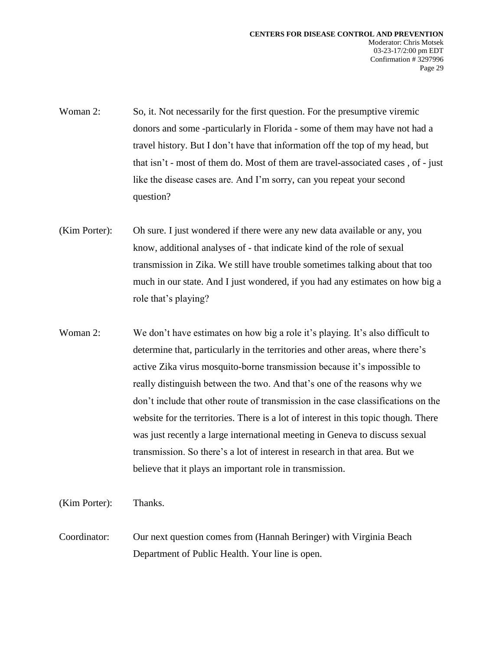- Woman 2: So, it. Not necessarily for the first question. For the presumptive viremic donors and some -particularly in Florida - some of them may have not had a travel history. But I don't have that information off the top of my head, but that isn't - most of them do. Most of them are travel-associated cases , of - just like the disease cases are. And I'm sorry, can you repeat your second question?
- (Kim Porter): Oh sure. I just wondered if there were any new data available or any, you know, additional analyses of - that indicate kind of the role of sexual transmission in Zika. We still have trouble sometimes talking about that too much in our state. And I just wondered, if you had any estimates on how big a role that's playing?
- Woman 2: We don't have estimates on how big a role it's playing. It's also difficult to determine that, particularly in the territories and other areas, where there's active Zika virus mosquito-borne transmission because it's impossible to really distinguish between the two. And that's one of the reasons why we don't include that other route of transmission in the case classifications on the website for the territories. There is a lot of interest in this topic though. There was just recently a large international meeting in Geneva to discuss sexual transmission. So there's a lot of interest in research in that area. But we believe that it plays an important role in transmission.

(Kim Porter): Thanks.

Coordinator: Our next question comes from (Hannah Beringer) with Virginia Beach Department of Public Health. Your line is open.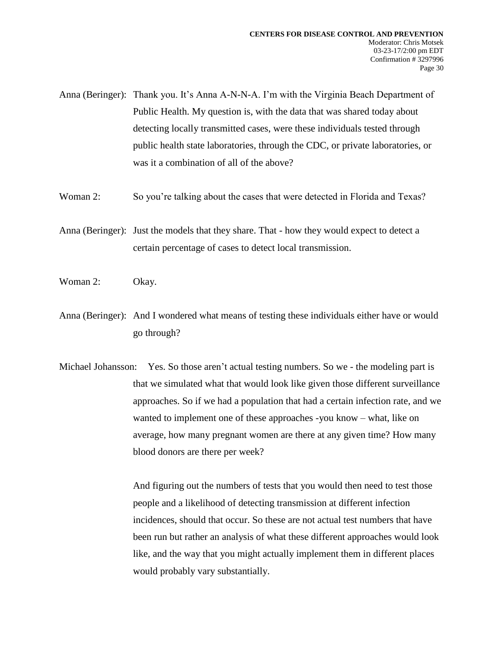- Anna (Beringer): Thank you. It's Anna A-N-N-A. I'm with the Virginia Beach Department of Public Health. My question is, with the data that was shared today about detecting locally transmitted cases, were these individuals tested through public health state laboratories, through the CDC, or private laboratories, or was it a combination of all of the above?
- Woman 2: So you're talking about the cases that were detected in Florida and Texas?
- Anna (Beringer): Just the models that they share. That how they would expect to detect a certain percentage of cases to detect local transmission.
- Woman 2: Okay.
- Anna (Beringer): And I wondered what means of testing these individuals either have or would go through?
- Michael Johansson: Yes. So those aren't actual testing numbers. So we the modeling part is that we simulated what that would look like given those different surveillance approaches. So if we had a population that had a certain infection rate, and we wanted to implement one of these approaches -you know – what, like on average, how many pregnant women are there at any given time? How many blood donors are there per week?

And figuring out the numbers of tests that you would then need to test those people and a likelihood of detecting transmission at different infection incidences, should that occur. So these are not actual test numbers that have been run but rather an analysis of what these different approaches would look like, and the way that you might actually implement them in different places would probably vary substantially.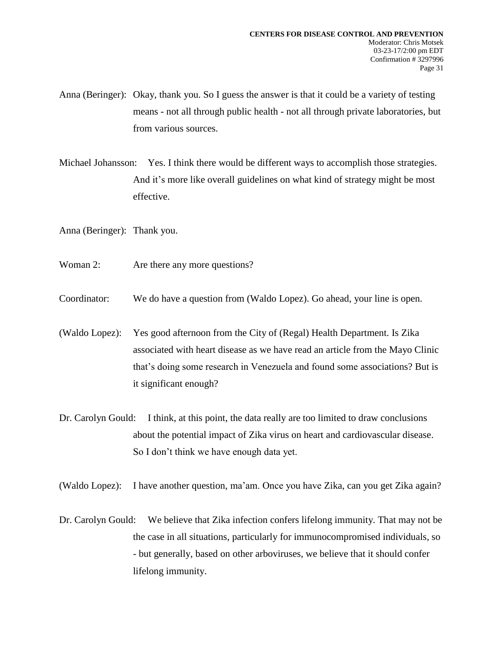Anna (Beringer): Okay, thank you. So I guess the answer is that it could be a variety of testing means - not all through public health - not all through private laboratories, but from various sources.

Michael Johansson: Yes. I think there would be different ways to accomplish those strategies. And it's more like overall guidelines on what kind of strategy might be most effective.

Anna (Beringer): Thank you.

- Woman 2: Are there any more questions?
- Coordinator: We do have a question from (Waldo Lopez). Go ahead, your line is open.
- (Waldo Lopez): Yes good afternoon from the City of (Regal) Health Department. Is Zika associated with heart disease as we have read an article from the Mayo Clinic that's doing some research in Venezuela and found some associations? But is it significant enough?
- Dr. Carolyn Gould: I think, at this point, the data really are too limited to draw conclusions about the potential impact of Zika virus on heart and cardiovascular disease. So I don't think we have enough data yet.

(Waldo Lopez): I have another question, ma'am. Once you have Zika, can you get Zika again?

Dr. Carolyn Gould: We believe that Zika infection confers lifelong immunity. That may not be the case in all situations, particularly for immunocompromised individuals, so - but generally, based on other arboviruses, we believe that it should confer lifelong immunity.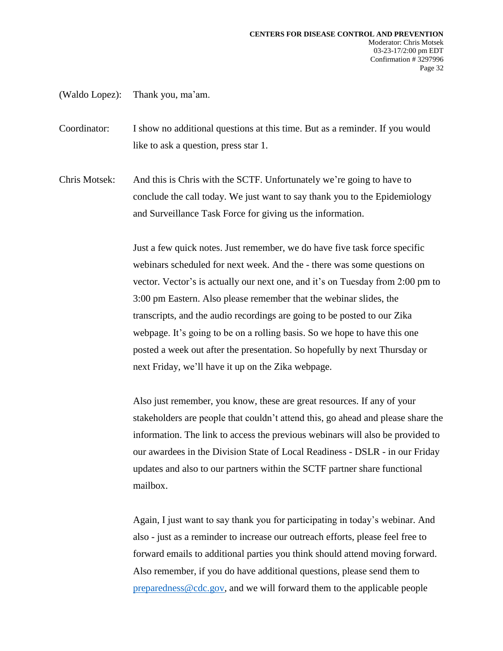(Waldo Lopez): Thank you, ma'am.

Coordinator: I show no additional questions at this time. But as a reminder. If you would like to ask a question, press star 1.

Chris Motsek: And this is Chris with the SCTF. Unfortunately we're going to have to conclude the call today. We just want to say thank you to the Epidemiology and Surveillance Task Force for giving us the information.

> Just a few quick notes. Just remember, we do have five task force specific webinars scheduled for next week. And the - there was some questions on vector. Vector's is actually our next one, and it's on Tuesday from 2:00 pm to 3:00 pm Eastern. Also please remember that the webinar slides, the transcripts, and the audio recordings are going to be posted to our Zika webpage. It's going to be on a rolling basis. So we hope to have this one posted a week out after the presentation. So hopefully by next Thursday or next Friday, we'll have it up on the Zika webpage.

> Also just remember, you know, these are great resources. If any of your stakeholders are people that couldn't attend this, go ahead and please share the information. The link to access the previous webinars will also be provided to our awardees in the Division State of Local Readiness - DSLR - in our Friday updates and also to our partners within the SCTF partner share functional mailbox.

Again, I just want to say thank you for participating in today's webinar. And also - just as a reminder to increase our outreach efforts, please feel free to forward emails to additional parties you think should attend moving forward. Also remember, if you do have additional questions, please send them to [preparedness@cdc.gov,](mailto:preparedness@cdc.gov) and we will forward them to the applicable people